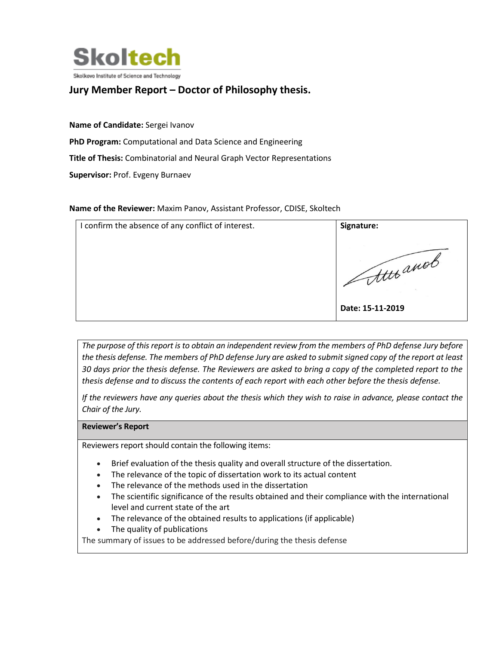

## **Jury Member Report – Doctor of Philosophy thesis.**

**Name of Candidate:** Sergei Ivanov

**PhD Program:** Computational and Data Science and Engineering

**Title of Thesis:** Combinatorial and Neural Graph Vector Representations

**Supervisor:** Prof. Evgeny Burnaev

## **Name of the Reviewer:** Maxim Panov, Assistant Professor, CDISE, Skoltech

| I confirm the absence of any conflict of interest. | Signature:                                   |
|----------------------------------------------------|----------------------------------------------|
|                                                    | <b>CALL</b><br>tttt anot<br>Date: 15-11-2019 |

*The purpose of this report is to obtain an independent review from the members of PhD defense Jury before the thesis defense. The members of PhD defense Jury are asked to submit signed copy of the report at least 30 days prior the thesis defense. The Reviewers are asked to bring a copy of the completed report to the thesis defense and to discuss the contents of each report with each other before the thesis defense.* 

*If the reviewers have any queries about the thesis which they wish to raise in advance, please contact the Chair of the Jury.*

## **Reviewer's Report**

Reviewers report should contain the following items:

- Brief evaluation of the thesis quality and overall structure of the dissertation.
- The relevance of the topic of dissertation work to its actual content
- The relevance of the methods used in the dissertation
- The scientific significance of the results obtained and their compliance with the international level and current state of the art
- The relevance of the obtained results to applications (if applicable)
- The quality of publications

The summary of issues to be addressed before/during the thesis defense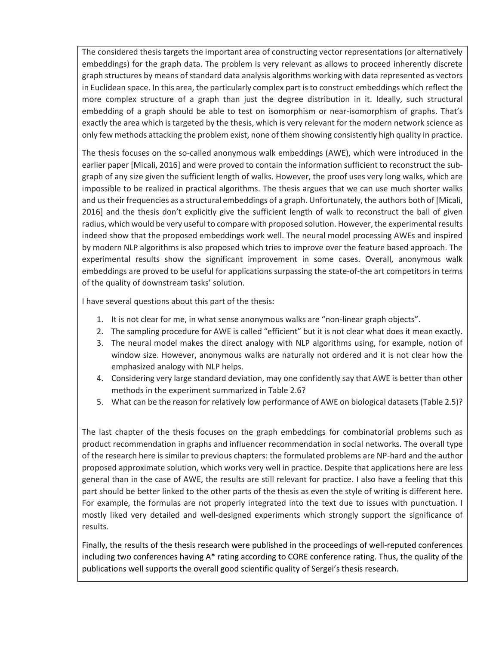The considered thesis targets the important area of constructing vector representations (or alternatively embeddings) for the graph data. The problem is very relevant as allows to proceed inherently discrete graph structures by means of standard data analysis algorithms working with data represented as vectors in Euclidean space. In this area, the particularly complex part is to construct embeddings which reflect the more complex structure of a graph than just the degree distribution in it. Ideally, such structural embedding of a graph should be able to test on isomorphism or near-isomorphism of graphs. That's exactly the area which is targeted by the thesis, which is very relevant for the modern network science as only few methods attacking the problem exist, none of them showing consistently high quality in practice.

The thesis focuses on the so-called anonymous walk embeddings (AWE), which were introduced in the earlier paper [Micali, 2016] and were proved to contain the information sufficient to reconstruct the subgraph of any size given the sufficient length of walks. However, the proof uses very long walks, which are impossible to be realized in practical algorithms. The thesis argues that we can use much shorter walks and us their frequencies as a structural embeddings of a graph. Unfortunately, the authors both of [Micali, 2016] and the thesis don't explicitly give the sufficient length of walk to reconstruct the ball of given radius, which would be very useful to compare with proposed solution. However, the experimental results indeed show that the proposed embeddings work well. The neural model processing AWEs and inspired by modern NLP algorithms is also proposed which tries to improve over the feature based approach. The experimental results show the significant improvement in some cases. Overall, anonymous walk embeddings are proved to be useful for applications surpassing the state-of-the art competitors in terms of the quality of downstream tasks' solution.

I have several questions about this part of the thesis:

- 1. It is not clear for me, in what sense anonymous walks are "non-linear graph objects".
- 2. The sampling procedure for AWE is called "efficient" but it is not clear what does it mean exactly.
- 3. The neural model makes the direct analogy with NLP algorithms using, for example, notion of window size. However, anonymous walks are naturally not ordered and it is not clear how the emphasized analogy with NLP helps.
- 4. Considering very large standard deviation, may one confidently say that AWE is better than other methods in the experiment summarized in Table 2.6?
- 5. What can be the reason for relatively low performance of AWE on biological datasets (Table 2.5)?

The last chapter of the thesis focuses on the graph embeddings for combinatorial problems such as product recommendation in graphs and influencer recommendation in social networks. The overall type of the research here is similar to previous chapters: the formulated problems are NP-hard and the author proposed approximate solution, which works very well in practice. Despite that applications here are less general than in the case of AWE, the results are still relevant for practice. I also have a feeling that this part should be better linked to the other parts of the thesis as even the style of writing is different here. For example, the formulas are not properly integrated into the text due to issues with punctuation. I mostly liked very detailed and well-designed experiments which strongly support the significance of results.

Finally, the results of the thesis research were published in the proceedings of well-reputed conferences including two conferences having A\* rating according to CORE conference rating. Thus, the quality of the publications well supports the overall good scientific quality of Sergei's thesis research.